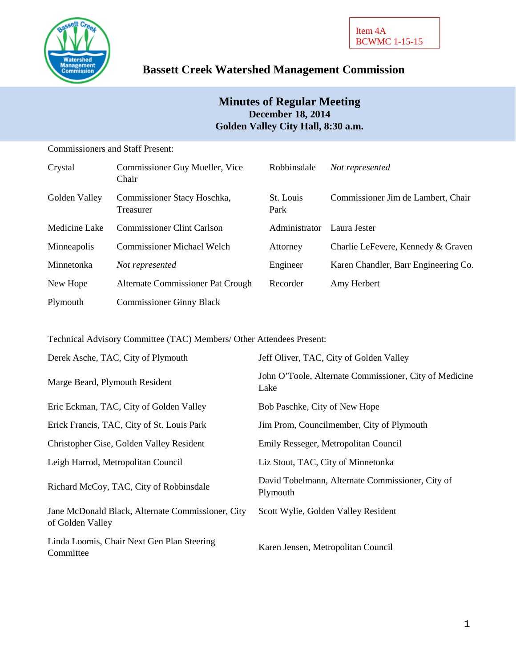

# **Bassett Creek Watershed Management Commission**

# **Minutes of Regular Meeting December 18, 2014 Golden Valley City Hall, 8:30 a.m.**

Commissioners and Staff Present:

| Crystal       | Commissioner Guy Mueller, Vice<br>Chair  | Robbinsdale       | Not represented                      |
|---------------|------------------------------------------|-------------------|--------------------------------------|
| Golden Valley | Commissioner Stacy Hoschka,<br>Treasurer | St. Louis<br>Park | Commissioner Jim de Lambert, Chair   |
| Medicine Lake | <b>Commissioner Clint Carlson</b>        | Administrator     | Laura Jester                         |
| Minneapolis   | <b>Commissioner Michael Welch</b>        | Attorney          | Charlie LeFevere, Kennedy & Graven   |
| Minnetonka    | Not represented                          | Engineer          | Karen Chandler, Barr Engineering Co. |
| New Hope      | Alternate Commissioner Pat Crough        | Recorder          | Amy Herbert                          |
| Plymouth      | <b>Commissioner Ginny Black</b>          |                   |                                      |

Technical Advisory Committee (TAC) Members/ Other Attendees Present:

| Derek Asche, TAC, City of Plymouth                                    | Jeff Oliver, TAC, City of Golden Valley                        |
|-----------------------------------------------------------------------|----------------------------------------------------------------|
| Marge Beard, Plymouth Resident                                        | John O'Toole, Alternate Commissioner, City of Medicine<br>Lake |
| Eric Eckman, TAC, City of Golden Valley                               | Bob Paschke, City of New Hope                                  |
| Erick Francis, TAC, City of St. Louis Park                            | Jim Prom, Councilmember, City of Plymouth                      |
| Christopher Gise, Golden Valley Resident                              | Emily Resseger, Metropolitan Council                           |
| Leigh Harrod, Metropolitan Council                                    | Liz Stout, TAC, City of Minnetonka                             |
| Richard McCoy, TAC, City of Robbinsdale                               | David Tobelmann, Alternate Commissioner, City of<br>Plymouth   |
| Jane McDonald Black, Alternate Commissioner, City<br>of Golden Valley | Scott Wylie, Golden Valley Resident                            |
| Linda Loomis, Chair Next Gen Plan Steering<br>Committee               | Karen Jensen, Metropolitan Council                             |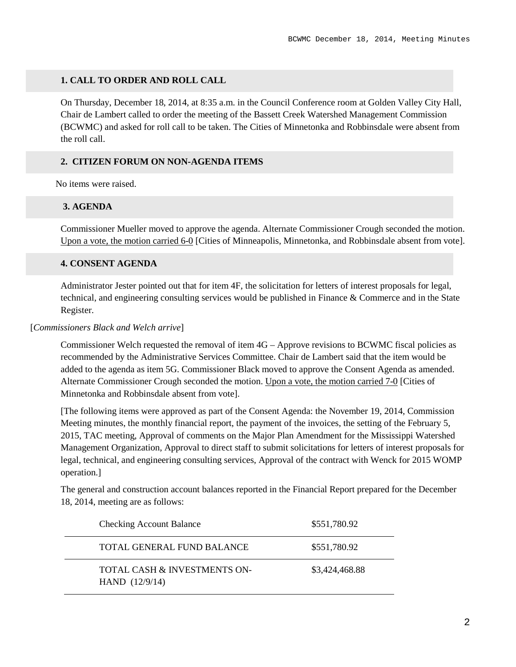#### **1. CALL TO ORDER AND ROLL CALL**

On Thursday, December 18, 2014, at 8:35 a.m. in the Council Conference room at Golden Valley City Hall, Chair de Lambert called to order the meeting of the Bassett Creek Watershed Management Commission (BCWMC) and asked for roll call to be taken. The Cities of Minnetonka and Robbinsdale were absent from the roll call.

### **2. CITIZEN FORUM ON NON-AGENDA ITEMS**

No items were raised.

#### **3. AGENDA**

Commissioner Mueller moved to approve the agenda. Alternate Commissioner Crough seconded the motion. Upon a vote, the motion carried 6-0 [Cities of Minneapolis, Minnetonka, and Robbinsdale absent from vote].

#### **4. CONSENT AGENDA**

Administrator Jester pointed out that for item 4F, the solicitation for letters of interest proposals for legal, technical, and engineering consulting services would be published in Finance & Commerce and in the State Register.

#### [*Commissioners Black and Welch arrive*]

Commissioner Welch requested the removal of item 4G – Approve revisions to BCWMC fiscal policies as recommended by the Administrative Services Committee. Chair de Lambert said that the item would be added to the agenda as item 5G. Commissioner Black moved to approve the Consent Agenda as amended. Alternate Commissioner Crough seconded the motion. Upon a vote, the motion carried 7-0 [Cities of Minnetonka and Robbinsdale absent from vote].

[The following items were approved as part of the Consent Agenda: the November 19, 2014, Commission Meeting minutes, the monthly financial report, the payment of the invoices, the setting of the February 5, 2015, TAC meeting, Approval of comments on the Major Plan Amendment for the Mississippi Watershed Management Organization, Approval to direct staff to submit solicitations for letters of interest proposals for legal, technical, and engineering consulting services, Approval of the contract with Wenck for 2015 WOMP operation.]

The general and construction account balances reported in the Financial Report prepared for the December 18, 2014, meeting are as follows:

| <b>Checking Account Balance</b>                  | \$551,780.92   |
|--------------------------------------------------|----------------|
| TOTAL GENERAL FUND BALANCE                       | \$551,780.92   |
| TOTAL CASH & INVESTMENTS ON-<br>HAND $(12/9/14)$ | \$3,424,468.88 |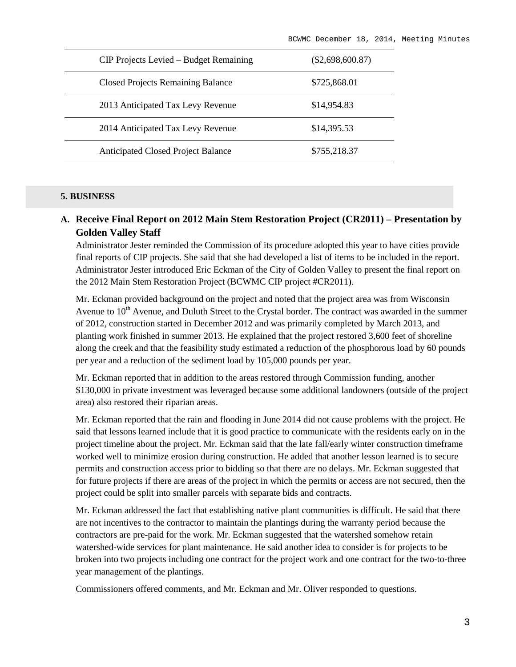| CIP Projects Levied – Budget Remaining    | $(\$2,698,600.87)$ |
|-------------------------------------------|--------------------|
| <b>Closed Projects Remaining Balance</b>  | \$725,868.01       |
| 2013 Anticipated Tax Levy Revenue         | \$14,954.83        |
| 2014 Anticipated Tax Levy Revenue         | \$14,395.53        |
| <b>Anticipated Closed Project Balance</b> | \$755,218.37       |

#### **5. BUSINESS**

### **A. Receive Final Report on 2012 Main Stem Restoration Project (CR2011) – Presentation by Golden Valley Staff**

Administrator Jester reminded the Commission of its procedure adopted this year to have cities provide final reports of CIP projects. She said that she had developed a list of items to be included in the report. Administrator Jester introduced Eric Eckman of the City of Golden Valley to present the final report on the 2012 Main Stem Restoration Project (BCWMC CIP project #CR2011).

Mr. Eckman provided background on the project and noted that the project area was from Wisconsin Avenue to  $10<sup>th</sup>$  Avenue, and Duluth Street to the Crystal border. The contract was awarded in the summer of 2012, construction started in December 2012 and was primarily completed by March 2013, and planting work finished in summer 2013. He explained that the project restored 3,600 feet of shoreline along the creek and that the feasibility study estimated a reduction of the phosphorous load by 60 pounds per year and a reduction of the sediment load by 105,000 pounds per year.

Mr. Eckman reported that in addition to the areas restored through Commission funding, another \$130,000 in private investment was leveraged because some additional landowners (outside of the project area) also restored their riparian areas.

Mr. Eckman reported that the rain and flooding in June 2014 did not cause problems with the project. He said that lessons learned include that it is good practice to communicate with the residents early on in the project timeline about the project. Mr. Eckman said that the late fall/early winter construction timeframe worked well to minimize erosion during construction. He added that another lesson learned is to secure permits and construction access prior to bidding so that there are no delays. Mr. Eckman suggested that for future projects if there are areas of the project in which the permits or access are not secured, then the project could be split into smaller parcels with separate bids and contracts.

Mr. Eckman addressed the fact that establishing native plant communities is difficult. He said that there are not incentives to the contractor to maintain the plantings during the warranty period because the contractors are pre-paid for the work. Mr. Eckman suggested that the watershed somehow retain watershed-wide services for plant maintenance. He said another idea to consider is for projects to be broken into two projects including one contract for the project work and one contract for the two-to-three year management of the plantings.

Commissioners offered comments, and Mr. Eckman and Mr. Oliver responded to questions.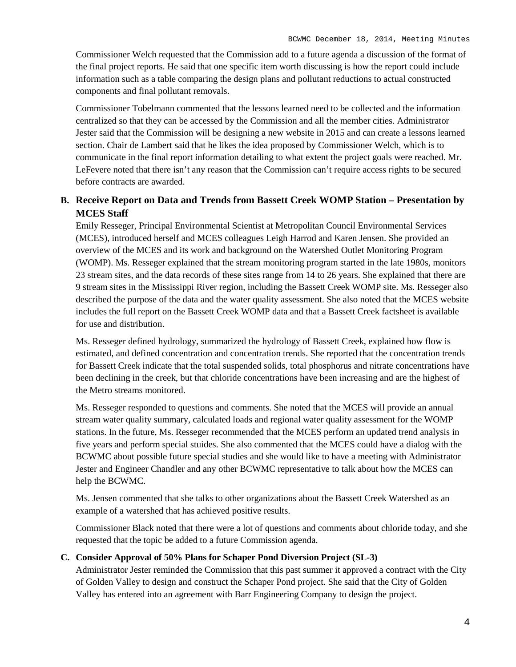Commissioner Welch requested that the Commission add to a future agenda a discussion of the format of the final project reports. He said that one specific item worth discussing is how the report could include information such as a table comparing the design plans and pollutant reductions to actual constructed components and final pollutant removals.

Commissioner Tobelmann commented that the lessons learned need to be collected and the information centralized so that they can be accessed by the Commission and all the member cities. Administrator Jester said that the Commission will be designing a new website in 2015 and can create a lessons learned section. Chair de Lambert said that he likes the idea proposed by Commissioner Welch, which is to communicate in the final report information detailing to what extent the project goals were reached. Mr. LeFevere noted that there isn't any reason that the Commission can't require access rights to be secured before contracts are awarded.

### **B. Receive Report on Data and Trends from Bassett Creek WOMP Station – Presentation by MCES Staff**

Emily Resseger, Principal Environmental Scientist at Metropolitan Council Environmental Services (MCES), introduced herself and MCES colleagues Leigh Harrod and Karen Jensen. She provided an overview of the MCES and its work and background on the Watershed Outlet Monitoring Program (WOMP). Ms. Resseger explained that the stream monitoring program started in the late 1980s, monitors 23 stream sites, and the data records of these sites range from 14 to 26 years. She explained that there are 9 stream sites in the Mississippi River region, including the Bassett Creek WOMP site. Ms. Resseger also described the purpose of the data and the water quality assessment. She also noted that the MCES website includes the full report on the Bassett Creek WOMP data and that a Bassett Creek factsheet is available for use and distribution.

Ms. Resseger defined hydrology, summarized the hydrology of Bassett Creek, explained how flow is estimated, and defined concentration and concentration trends. She reported that the concentration trends for Bassett Creek indicate that the total suspended solids, total phosphorus and nitrate concentrations have been declining in the creek, but that chloride concentrations have been increasing and are the highest of the Metro streams monitored.

Ms. Resseger responded to questions and comments. She noted that the MCES will provide an annual stream water quality summary, calculated loads and regional water quality assessment for the WOMP stations. In the future, Ms. Resseger recommended that the MCES perform an updated trend analysis in five years and perform special stuides. She also commented that the MCES could have a dialog with the BCWMC about possible future special studies and she would like to have a meeting with Administrator Jester and Engineer Chandler and any other BCWMC representative to talk about how the MCES can help the BCWMC.

Ms. Jensen commented that she talks to other organizations about the Bassett Creek Watershed as an example of a watershed that has achieved positive results.

Commissioner Black noted that there were a lot of questions and comments about chloride today, and she requested that the topic be added to a future Commission agenda.

#### **C. Consider Approval of 50% Plans for Schaper Pond Diversion Project (SL-3)**

Administrator Jester reminded the Commission that this past summer it approved a contract with the City of Golden Valley to design and construct the Schaper Pond project. She said that the City of Golden Valley has entered into an agreement with Barr Engineering Company to design the project.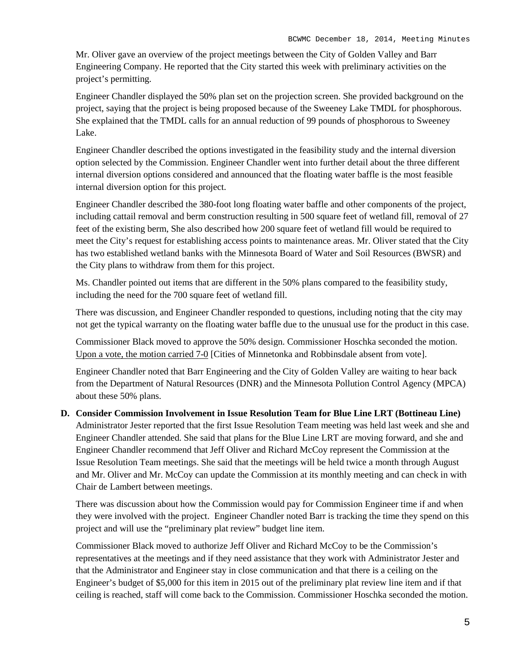Mr. Oliver gave an overview of the project meetings between the City of Golden Valley and Barr Engineering Company. He reported that the City started this week with preliminary activities on the project's permitting.

Engineer Chandler displayed the 50% plan set on the projection screen. She provided background on the project, saying that the project is being proposed because of the Sweeney Lake TMDL for phosphorous. She explained that the TMDL calls for an annual reduction of 99 pounds of phosphorous to Sweeney Lake.

Engineer Chandler described the options investigated in the feasibility study and the internal diversion option selected by the Commission. Engineer Chandler went into further detail about the three different internal diversion options considered and announced that the floating water baffle is the most feasible internal diversion option for this project.

Engineer Chandler described the 380-foot long floating water baffle and other components of the project, including cattail removal and berm construction resulting in 500 square feet of wetland fill, removal of 27 feet of the existing berm, She also described how 200 square feet of wetland fill would be required to meet the City's request for establishing access points to maintenance areas. Mr. Oliver stated that the City has two established wetland banks with the Minnesota Board of Water and Soil Resources (BWSR) and the City plans to withdraw from them for this project.

Ms. Chandler pointed out items that are different in the 50% plans compared to the feasibility study, including the need for the 700 square feet of wetland fill.

There was discussion, and Engineer Chandler responded to questions, including noting that the city may not get the typical warranty on the floating water baffle due to the unusual use for the product in this case.

Commissioner Black moved to approve the 50% design. Commissioner Hoschka seconded the motion. Upon a vote, the motion carried 7-0 [Cities of Minnetonka and Robbinsdale absent from vote].

Engineer Chandler noted that Barr Engineering and the City of Golden Valley are waiting to hear back from the Department of Natural Resources (DNR) and the Minnesota Pollution Control Agency (MPCA) about these 50% plans.

**D. Consider Commission Involvement in Issue Resolution Team for Blue Line LRT (Bottineau Line)** Administrator Jester reported that the first Issue Resolution Team meeting was held last week and she and Engineer Chandler attended. She said that plans for the Blue Line LRT are moving forward, and she and Engineer Chandler recommend that Jeff Oliver and Richard McCoy represent the Commission at the Issue Resolution Team meetings. She said that the meetings will be held twice a month through August and Mr. Oliver and Mr. McCoy can update the Commission at its monthly meeting and can check in with Chair de Lambert between meetings.

There was discussion about how the Commission would pay for Commission Engineer time if and when they were involved with the project. Engineer Chandler noted Barr is tracking the time they spend on this project and will use the "preliminary plat review" budget line item.

Commissioner Black moved to authorize Jeff Oliver and Richard McCoy to be the Commission's representatives at the meetings and if they need assistance that they work with Administrator Jester and that the Administrator and Engineer stay in close communication and that there is a ceiling on the Engineer's budget of \$5,000 for this item in 2015 out of the preliminary plat review line item and if that ceiling is reached, staff will come back to the Commission. Commissioner Hoschka seconded the motion.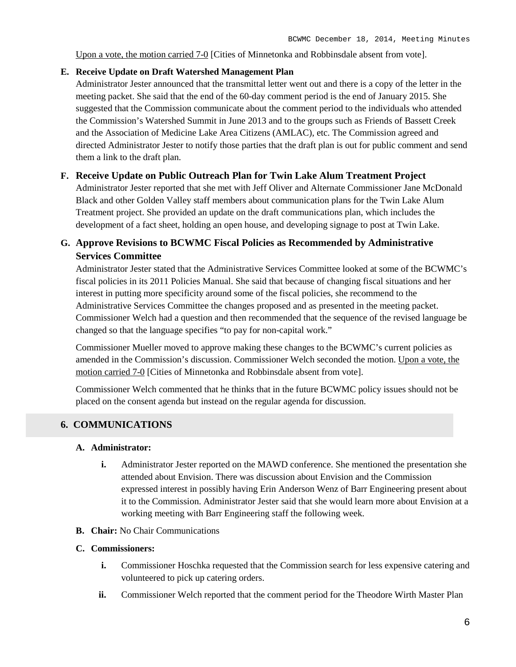Upon a vote, the motion carried 7-0 [Cities of Minnetonka and Robbinsdale absent from vote].

#### **E. Receive Update on Draft Watershed Management Plan**

Administrator Jester announced that the transmittal letter went out and there is a copy of the letter in the meeting packet. She said that the end of the 60-day comment period is the end of January 2015. She suggested that the Commission communicate about the comment period to the individuals who attended the Commission's Watershed Summit in June 2013 and to the groups such as Friends of Bassett Creek and the Association of Medicine Lake Area Citizens (AMLAC), etc. The Commission agreed and directed Administrator Jester to notify those parties that the draft plan is out for public comment and send them a link to the draft plan.

### **F. Receive Update on Public Outreach Plan for Twin Lake Alum Treatment Project**

Administrator Jester reported that she met with Jeff Oliver and Alternate Commissioner Jane McDonald Black and other Golden Valley staff members about communication plans for the Twin Lake Alum Treatment project. She provided an update on the draft communications plan, which includes the development of a fact sheet, holding an open house, and developing signage to post at Twin Lake.

### **G. Approve Revisions to BCWMC Fiscal Policies as Recommended by Administrative Services Committee**

Administrator Jester stated that the Administrative Services Committee looked at some of the BCWMC's fiscal policies in its 2011 Policies Manual. She said that because of changing fiscal situations and her interest in putting more specificity around some of the fiscal policies, she recommend to the Administrative Services Committee the changes proposed and as presented in the meeting packet. Commissioner Welch had a question and then recommended that the sequence of the revised language be changed so that the language specifies "to pay for non-capital work."

Commissioner Mueller moved to approve making these changes to the BCWMC's current policies as amended in the Commission's discussion. Commissioner Welch seconded the motion. Upon a vote, the motion carried 7-0 [Cities of Minnetonka and Robbinsdale absent from vote].

Commissioner Welch commented that he thinks that in the future BCWMC policy issues should not be placed on the consent agenda but instead on the regular agenda for discussion.

### **6. COMMUNICATIONS**

#### **A. Administrator:**

- **i.** Administrator Jester reported on the MAWD conference. She mentioned the presentation she attended about Envision. There was discussion about Envision and the Commission expressed interest in possibly having Erin Anderson Wenz of Barr Engineering present about it to the Commission. Administrator Jester said that she would learn more about Envision at a working meeting with Barr Engineering staff the following week.
- **B. Chair:** No Chair Communications

#### **C. Commissioners:**

- **i.** Commissioner Hoschka requested that the Commission search for less expensive catering and volunteered to pick up catering orders.
- **ii.** Commissioner Welch reported that the comment period for the Theodore Wirth Master Plan